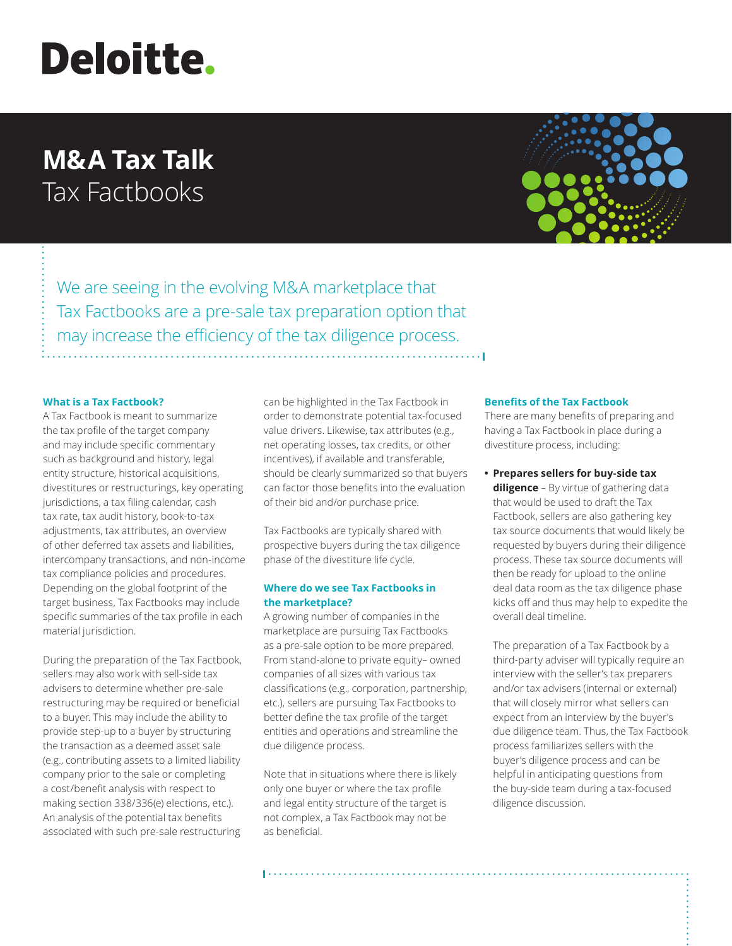# **Deloitte.**

# **M&A Tax Talk** Tax Factbooks



We are seeing in the evolving M&A marketplace that Tax Factbooks are a pre-sale tax preparation option that may increase the efficiency of the tax diligence process.

## **What is a Tax Factbook?**

A Tax Factbook is meant to summarize the tax profile of the target company and may include specific commentary such as background and history, legal entity structure, historical acquisitions, divestitures or restructurings, key operating jurisdictions, a tax filing calendar, cash tax rate, tax audit history, book-to-tax adjustments, tax attributes, an overview of other deferred tax assets and liabilities, intercompany transactions, and non-income tax compliance policies and procedures. Depending on the global footprint of the target business, Tax Factbooks may include specific summaries of the tax profile in each material jurisdiction.

During the preparation of the Tax Factbook, sellers may also work with sell-side tax advisers to determine whether pre-sale restructuring may be required or beneficial to a buyer. This may include the ability to provide step-up to a buyer by structuring the transaction as a deemed asset sale (e.g., contributing assets to a limited liability company prior to the sale or completing a cost/benefit analysis with respect to making section 338/336(e) elections, etc.). An analysis of the potential tax benefits associated with such pre-sale restructuring

can be highlighted in the Tax Factbook in order to demonstrate potential tax-focused value drivers. Likewise, tax attributes (e.g., net operating losses, tax credits, or other incentives), if available and transferable, should be clearly summarized so that buyers can factor those benefits into the evaluation of their bid and/or purchase price.

Tax Factbooks are typically shared with prospective buyers during the tax diligence phase of the divestiture life cycle.

# **Where do we see Tax Factbooks in the marketplace?**

A growing number of companies in the marketplace are pursuing Tax Factbooks as a pre-sale option to be more prepared. From stand-alone to private equity– owned companies of all sizes with various tax classifications (e.g., corporation, partnership, etc.), sellers are pursuing Tax Factbooks to better define the tax profile of the target entities and operations and streamline the due diligence process.

Note that in situations where there is likely only one buyer or where the tax profile and legal entity structure of the target is not complex, a Tax Factbook may not be as beneficial.

#### **Benefits of the Tax Factbook**

There are many benefits of preparing and having a Tax Factbook in place during a divestiture process, including:

**• Prepares sellers for buy-side tax diligence** – By virtue of gathering data that would be used to draft the Tax Factbook, sellers are also gathering key tax source documents that would likely be requested by buyers during their diligence process. These tax source documents will then be ready for upload to the online deal data room as the tax diligence phase kicks off and thus may help to expedite the overall deal timeline.

The preparation of a Tax Factbook by a third-party adviser will typically require an interview with the seller's tax preparers and/or tax advisers (internal or external) that will closely mirror what sellers can expect from an interview by the buyer's due diligence team. Thus, the Tax Factbook process familiarizes sellers with the buyer's diligence process and can be helpful in anticipating questions from the buy-side team during a tax-focused diligence discussion.